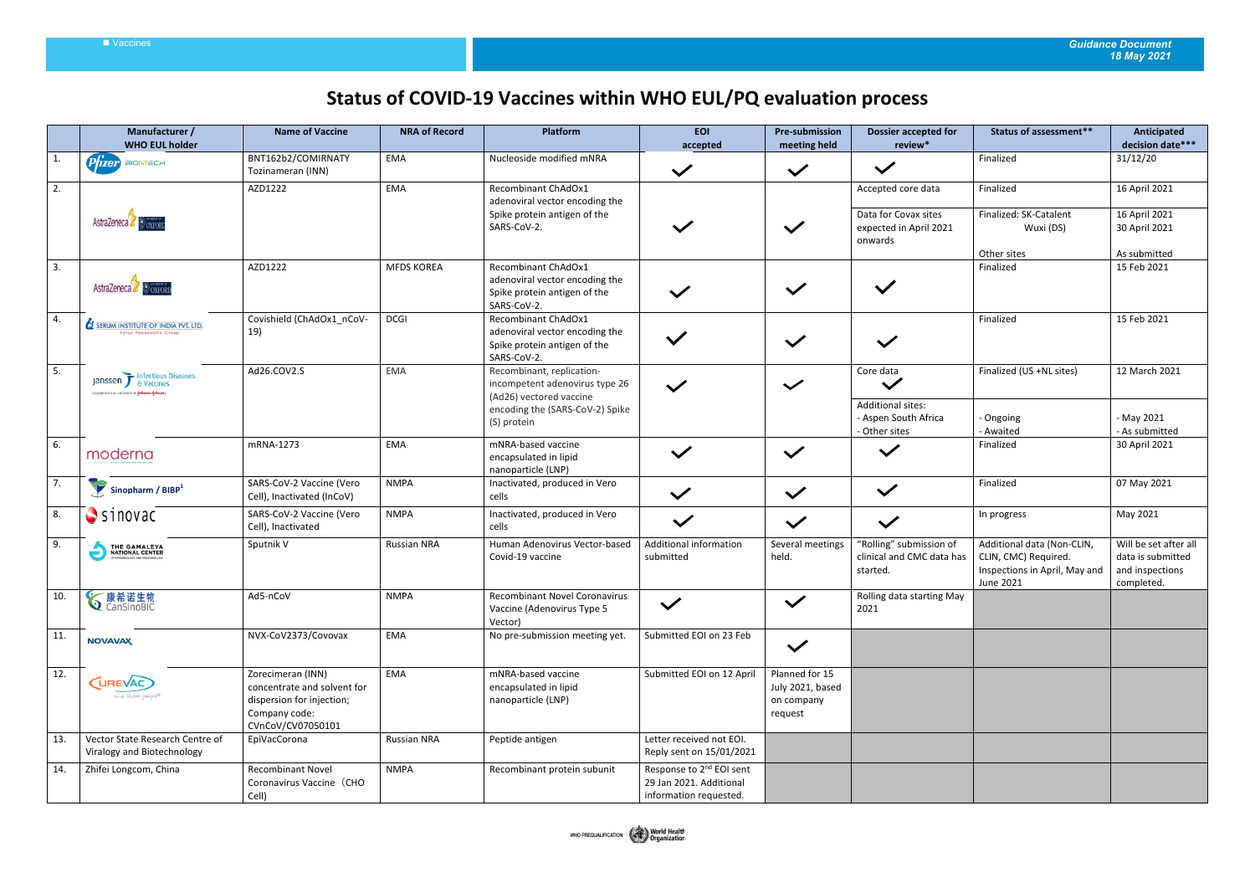## Vaccines *Guidance Document 18 May 2021*

## **Status of COVID-19 Vaccines within WHO EUL/PQ evaluation process**

|              | Manufacturer /<br><b>WHO EUL holder</b>                                   | <b>Name of Vaccine</b>                                                                                              | <b>NRA of Record</b> | Platform                                                                                                                                 | <b>EOI</b><br>accepted                                                                    | <b>Pre-submission</b><br>meeting held                       | <b>Dossier accepted for</b><br>review*                                          | <b>Status of assessment**</b>                                                                    | Anticipated<br>decision date***                                             |
|--------------|---------------------------------------------------------------------------|---------------------------------------------------------------------------------------------------------------------|----------------------|------------------------------------------------------------------------------------------------------------------------------------------|-------------------------------------------------------------------------------------------|-------------------------------------------------------------|---------------------------------------------------------------------------------|--------------------------------------------------------------------------------------------------|-----------------------------------------------------------------------------|
| $\mathbf{1}$ | <b>Pfizer</b><br><b>BIONTECH</b>                                          | BNT162b2/COMIRNATY<br>Tozinameran (INN)                                                                             | <b>EMA</b>           | Nucleoside modified mNRA                                                                                                                 | $\checkmark$                                                                              | $\checkmark$                                                | $\checkmark$                                                                    | Finalized                                                                                        | 31/12/20                                                                    |
| 2.           | AstraZeneca & OXFOR                                                       | AZD1222                                                                                                             | EMA                  | Recombinant ChAdOx1<br>adenoviral vector encoding the<br>Spike protein antigen of the<br>SARS-CoV-2.                                     |                                                                                           | $\checkmark$                                                | Accepted core data<br>Data for Covax sites<br>expected in April 2021<br>onwards | Finalized<br>Finalized: SK-Catalent<br>Wuxi (DS)<br>Other sites                                  | 16 April 2021<br>16 April 2021<br>30 April 2021<br>As submitted             |
| 3.           | AstraZeneca & COXFORD                                                     | AZD1222                                                                                                             | <b>MFDS KOREA</b>    | <b>Recombinant ChAdOx1</b><br>adenoviral vector encoding the<br>Spike protein antigen of the<br>SARS-CoV-2.                              |                                                                                           | $\checkmark$                                                |                                                                                 | Finalized                                                                                        | 15 Feb 2021                                                                 |
| 4.           | <b>SERUM INSTITUTE OF INDIA PVT. LTD.</b><br>Cyrus Poonawalla Group       | Covishield (ChAdOx1_nCoV-<br>19)                                                                                    | <b>DCGI</b>          | Recombinant ChAdOx1<br>adenoviral vector encoding the<br>Spike protein antigen of the<br>SARS-CoV-2.                                     | $\checkmark$                                                                              | $\checkmark$                                                | $\checkmark$                                                                    | Finalized                                                                                        | 15 Feb 2021                                                                 |
| 5.           | Janssen F Infectious Diseases<br>RIANCEUTICAL CONFAMES OF LOANSER-LOANSER | Ad26.COV2.S                                                                                                         | <b>EMA</b>           | Recombinant, replication-<br>incompetent adenovirus type 26<br>(Ad26) vectored vaccine<br>encoding the (SARS-CoV-2) Spike<br>(S) protein |                                                                                           | $\checkmark$                                                | Core data<br><b>Additional sites:</b><br>- Aspen South Africa                   | Finalized (US +NL sites)<br>Ongoing                                                              | 12 March 2021<br>- May 2021                                                 |
| 6.           | moderna                                                                   | mRNA-1273                                                                                                           | <b>EMA</b>           | mNRA-based vaccine<br>encapsulated in lipid<br>nanoparticle (LNP)                                                                        | $\checkmark$                                                                              | $\checkmark$                                                | - Other sites<br>$\checkmark$                                                   | Awaited<br>Finalized                                                                             | - As submitted<br>30 April 2021                                             |
| 7.           | Sinopharm / BIBP <sup>1</sup>                                             | SARS-CoV-2 Vaccine (Vero<br>Cell), Inactivated (InCoV)                                                              | <b>NMPA</b>          | Inactivated, produced in Vero<br>cells                                                                                                   | $\checkmark$                                                                              | $\checkmark$                                                | $\checkmark$                                                                    | Finalized                                                                                        | 07 May 2021                                                                 |
| 8.           | $S$ sinovac                                                               | SARS-CoV-2 Vaccine (Vero<br>Cell), Inactivated                                                                      | <b>NMPA</b>          | Inactivated, produced in Vero<br>cells                                                                                                   | $\checkmark$                                                                              | $\checkmark$                                                | $\checkmark$                                                                    | In progress                                                                                      | May 2021                                                                    |
| 9.           | THE GAMALEYA                                                              | Sputnik V                                                                                                           | <b>Russian NRA</b>   | Human Adenovirus Vector-based<br>Covid-19 vaccine                                                                                        | Additional information<br>submitted                                                       | Several meetings<br>held.                                   | "Rolling" submission of<br>clinical and CMC data has<br>started.                | Additional data (Non-CLIN,<br>CLIN, CMC) Required.<br>Inspections in April, May and<br>June 2021 | Will be set after all<br>data is submitted<br>and inspections<br>completed. |
| 10.          | <b>√康希诺生物</b>                                                             | Ad5-nCoV                                                                                                            | <b>NMPA</b>          | Recombinant Novel Coronavirus<br>Vaccine (Adenovirus Type 5<br>Vector)                                                                   | $\checkmark$                                                                              | $\checkmark$                                                | Rolling data starting May<br>2021                                               |                                                                                                  |                                                                             |
| 11.          | <b>NOVAVAX</b>                                                            | NVX-CoV2373/Covovax                                                                                                 | EMA                  | No pre-submission meeting yet.                                                                                                           | Submitted EOI on 23 Feb                                                                   | $\checkmark$                                                |                                                                                 |                                                                                                  |                                                                             |
| 12.          | <b>CUREVAC</b><br>the RNA people®                                         | Zorecimeran (INN)<br>concentrate and solvent for<br>dispersion for injection;<br>Company code:<br>CVnCoV/CV07050101 | EMA                  | mNRA-based vaccine<br>encapsulated in lipid<br>nanoparticle (LNP)                                                                        | Submitted EOI on 12 April                                                                 | Planned for 15<br>July 2021, based<br>on company<br>request |                                                                                 |                                                                                                  |                                                                             |
| 13.          | Vector State Research Centre of<br>Viralogy and Biotechnology             | EpiVacCorona                                                                                                        | <b>Russian NRA</b>   | Peptide antigen                                                                                                                          | Letter received not EOI.<br>Reply sent on 15/01/2021                                      |                                                             |                                                                                 |                                                                                                  |                                                                             |
| 14.          | Zhifei Longcom, China                                                     | <b>Recombinant Novel</b><br>Coronavirus Vaccine (CHO<br>Cell)                                                       | <b>NMPA</b>          | Recombinant protein subunit                                                                                                              | Response to 2 <sup>nd</sup> EOI sent<br>29 Jan 2021. Additional<br>information requested. |                                                             |                                                                                 |                                                                                                  |                                                                             |